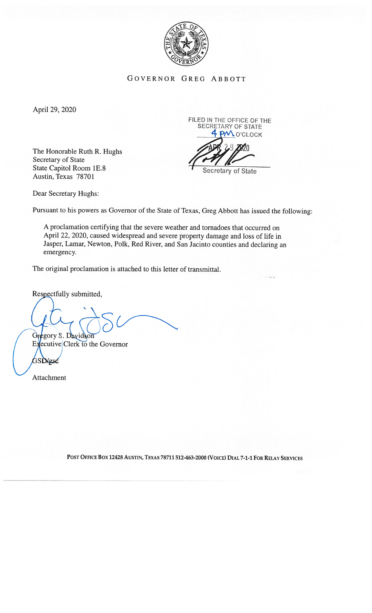

GOVERNOR GREG ABBOTT

April 29, 2020

The Honorable Ruth R. Hughs Secretary of State State Capitol Room 1E.8 Austin, Texas 78701

FILED IN THE OFFICE OF THE SECRETARY OF STATE 4 PM O'CLOCK

Secretary of State

Dear Secretary Hughs:

Pursuant to his powers as Governor of the State of Texas, Greg Abbott has issued the following:

A proclamation certifying that the severe weather and tornadoes that occurred on April 22, 2020, caused widespread and severe property damage and loss of life in Jasper, Lamar, Newton, Polk, Red River, and San Jacinto counties and declaring an emergency.

The original proclamation is attached to this letter of transmittal.

Respectfully submitted,

Gregory S. Davidson

Executive Clerk to the Governor 3SD/gsd

Attachment

POST OFFICE BOX 12428 AUSTIN, TEXAS 78711 512-463-2000 (VOICE) DIAL 7-1-1 FOR RELAY SERVICES